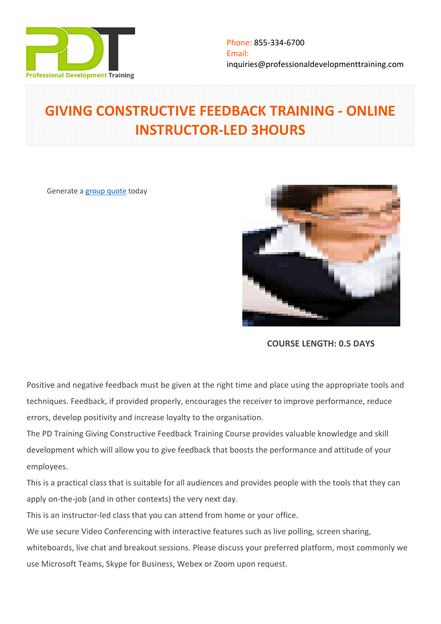

# **GIVING CONSTRUCTIVE FEEDBACK TRAINING - ONLINE INSTRUCTOR-LED 3HOURS**

Generate a [group quote](https://professionaldevelopmenttraining.com/inhouse-training-quote?cse=PDTG1627_C) today



**COURSE LENGTH: 0.5 DAYS**

Positive and negative feedback must be given at the right time and place using the appropriate tools and techniques. Feedback, if provided properly, encourages the receiver to improve performance, reduce errors, develop positivity and increase loyalty to the organisation.

The PD Training Giving Constructive Feedback Training Course provides valuable knowledge and skill development which will allow you to give feedback that boosts the performance and attitude of your employees.

This is a practical class that is suitable for all audiences and provides people with the tools that they can apply on-the-job (and in other contexts) the very next day.

This is an instructor-led class that you can attend from home or your office.

We use secure Video Conferencing with interactive features such as live polling, screen sharing,

whiteboards, live chat and breakout sessions. Please discuss your preferred platform, most commonly we use Microsoft Teams, Skype for Business, Webex or Zoom upon request.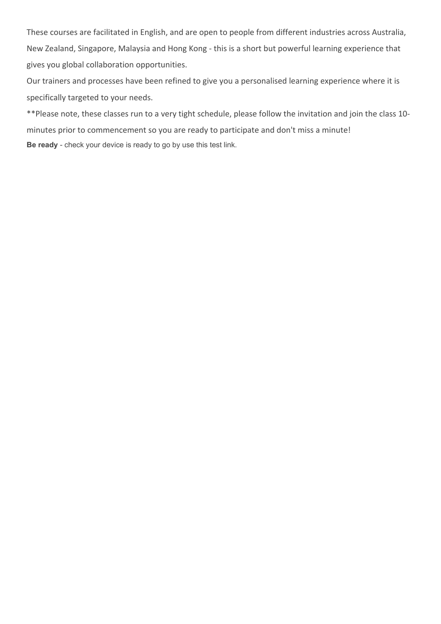These courses are facilitated in English, and are open to people from different industries across Australia, New Zealand, Singapore, Malaysia and Hong Kong - this is a short but powerful learning experience that gives you global collaboration opportunities.

Our trainers and processes have been refined to give you a personalised learning experience where it is specifically targeted to your needs.

\*\*Please note, these classes run to a very tight schedule, please follow the invitation and join the class 10 minutes prior to commencement so you are ready to participate and don't miss a minute! **Be ready** - check your device is ready to go by use this [test link](https://zoom.us/test).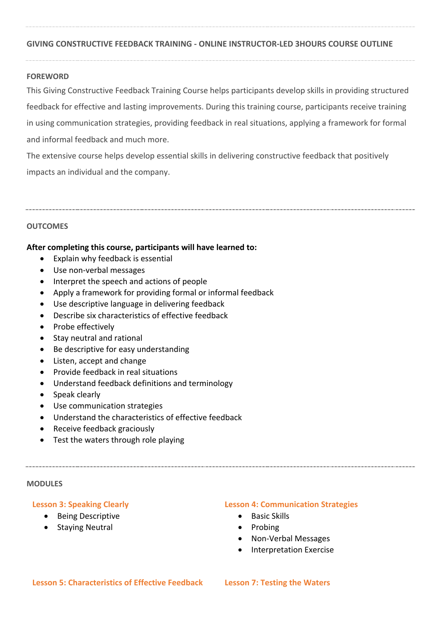### **GIVING CONSTRUCTIVE FEEDBACK TRAINING - ONLINE INSTRUCTOR-LED 3HOURS COURSE OUTLINE**

#### **FOREWORD**

This Giving Constructive Feedback Training Course helps participants develop skills in providing structured feedback for effective and lasting improvements. During this training course, participants receive training in using communication strategies, providing feedback in real situations, applying a framework for formal and informal feedback and much more.

The extensive course helps develop essential skills in delivering constructive feedback that positively impacts an individual and the company.

#### **OUTCOMES**

#### **After completing this course, participants will have learned to:**

- Explain why feedback is essential
- Use non-verbal messages
- Interpret the speech and actions of people
- Apply a framework for providing formal or informal feedback
- Use descriptive language in delivering feedback
- Describe six characteristics of effective feedback
- Probe effectively
- Stay neutral and rational
- Be descriptive for easy understanding
- Listen, accept and change
- Provide feedback in real situations
- Understand feedback definitions and terminology
- Speak clearly
- Use communication strategies
- Understand the characteristics of effective feedback
- Receive feedback graciously
- Test the waters through role playing

#### **MODULES**

#### **Lesson 3: Speaking Clearly**

- Being Descriptive
- Staying Neutral

#### **Lesson 4: Communication Strategies**

- Basic Skills
- $\bullet$  Probing
- Non-Verbal Messages
- Interpretation Exercise

#### **Lesson 5: Characteristics of Effective Feedback Lesson 7: Testing the Waters**